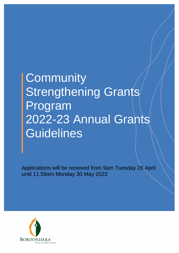# **Community** Strengthening Grants Program 2022-23 Annual Grants **Guidelines**

Applications will be received from 9am Tuesday 26 April until 11.59am Monday 30 May 2022

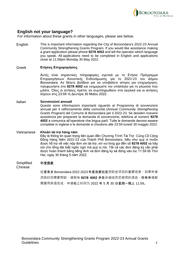

#### **English not your language?**

For information about these grants in other languages, please see below.

English This is important information regarding the City of Boroondara's 2022-23 Annual Community Strengthening Grants Program. If you would like assistance making a grant application please phone **9278 4002** and tell the operator which language you speak. All applications need to be completed in English and applications close at 11.59pm Monday 30 May 2022.

#### Greek **Ετήσιες Επιχορηγήσεις**

Αυτές είναι σημαντικές πληροφορίες σχετικά με το Ετήσιο Πρόγραμμα Επιχορηγήσεων Κοινοτικής Ενδυνάμωσης για το 2022-23 του Δήμου Boroondara. Αν θέλετε βοήθεια για να υποβάλετε αίτηση για επιχορήγηση, τηλεφωνήστε στο **9278 4002** και ενημερώστε τον υπάλληλο για τη γλώσσα που μιλάτε. Όλες οι αιτήσεις πρέπει να συμπληρωθούν στα αγγλικά και οι αιτήσεις λήγουν στις 23:59 τη Δευτέρα 30 Μαΐου 2022.

#### Italian **Sovvenzioni annuali**

Queste sono informazioni importanti riguardo al Programma di sovvenzioni annuali per il rafforzamento della comunità (*Annual Community Strengthening Grants Program*) del Comune di Boroondara per il 2022-23. Se desideri ricevere assistenza per preparare la domanda di sovvenzione, telefona al numero **9278 4002** e comunica all'operatore che lingua parli. Tutte le domande devono essere compilate in inglese e le domande si chiudono alle 23:59 lunedì 30 maggio 2022.

#### Vietnamese **Khoản tài trợ hàng năm** Đây là thông tin quan trong liên quan đến Chương Trình Tài Trợ Củng Cố Công Đồng Hàng Niên 2022-23 của Thành Phố Boroondara. Nếu như quý vị muốn được hỗ trợ về việc nộp đơn xin tài trợ, xin vui lòng gọi đến số **9278 4002** và hãy nói cho tổng đài biết ngôn ngữ mà quý vị nói. Tất cả các đơn đăng ký cần phải được hoàn thành bằng tiếng Anh và đơn đăng ký sẽ đóng vào lúc 11.59 tối Thứ Hai, ngày 30 tháng 5 năm 2022.

#### **Simplified** 年度拨款

Chinese

这**是有关 Boroondara 2022-2023 年度改善社区**资助金项目的重要信息。如果申请 资助时您需要帮助,请致电 9278 4002 并告诉接线员您使用的语言。所有申请都 需要用英语完成,申请截止时间为 2022 年 5 月 30 日星期一晚上 11:59。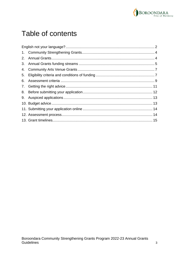

## Table of contents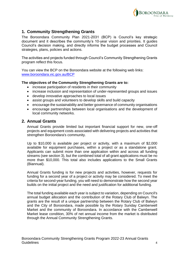

#### **1. Community Strengthening Grants**

The Boroondara Community Plan 2021-2031 (BCP) is Council's key strategic document and it describes the community's 10-year vision and priorities. It guides Council's decision making, and directly informs the budget processes and Council strategies, plans, policies and actions.

The activities and projects funded through Council's Community Strengthening Grants program reflect this focus.

You can view the BCP on the Boroondara website at the following web links: [www.boroondara.vic.gov.au/BCP](http://www.boroondara.vic.gov.au/BCP)

#### **The objectives of the Community Strengthening Grants are to:**

- increase participation of residents in their community
- increase inclusion and representation of under-represented groups and issues
- develop innovative approaches to local issues
- assist groups and volunteers to develop skills and build capacity
- encourage the sustainability and better governance of community organisations
- encourage partnerships between local organisations and the development of local community networks.

#### **2. Annual Grants**

Annual Grants provide limited but important financial support for new, one-off projects and equipment costs associated with delivering projects and activities that strengthen Boroondara's community.

Up to \$10,000 is available per project or activity, with a maximum of \$2,000 available for equipment purchases, within a project or as a standalone grant. Applicants can submit more than one application within and across all funding streams (see section 3), but the combined total of all grant applications must be no more than \$10,000. This total also includes applications to the Small Grants (Biannual).

Annual Grants funding is for new projects and activities, however, requests for funding for a second year of a project or activity may be considered. To meet the criteria for second-year funding, you will need to demonstrate how the second year builds on the initial project and the need and justification for additional funding.

The total funding available each year is subject to variation, depending on Council's annual budget allocation and the contribution of the Rotary Club of Balwyn. The grants are the result of a unique partnership between the Rotary Club of Balwyn and the City of Boroondara, made possible by the Rotary Sunday Camberwell Market and the community of Boroondara. In accordance with the Camberwell Market lease condition, 30% of net annual income from the market is distributed through the Annual Community Strengthening Grants.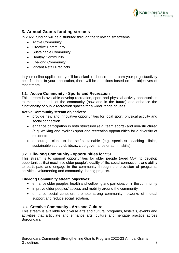

#### **3. Annual Grants funding streams**

In 2022, funding will be distributed through the following six streams:

- Active Community
- Creative Community
- Sustainable Community
- Healthy Community
- Life-long Community
- Vibrant Retail Precincts.

In your online application, you'll be asked to choose the stream your project/activity best fits into. In your application, there will be questions based on the objectives of that stream.

#### **3.1. Active Community - Sports and Recreation**

This stream is available develop recreation, sport and physical activity opportunities to meet the needs of the community (now and in the future) and enhance the functionality of public recreation spaces for a wider range of uses.

#### **Active Community stream objectives:**

- provide new and innovative opportunities for local sport, physical activity and social connection
- enhance participation in both structured (e.g. team sports) and non-structured (e.g. walking and cycling) sport and recreation opportunities for a diversity of residents
- encourage clubs to be self-sustainable (e.g. specialist coaching clinics, sustainable sport club ideas, club governance or admin skills).

#### **3.2. Life-long Community - opportunities for 55+**

This stream is to support opportunities for older people (aged 55+) to develop opportunities that maximise older people's quality of life, social connections and ability to participate and engage in the community through the provision of programs, activities, volunteering and community sharing projects.

#### **Life-long Community stream objectives:**

- enhance older peoples' health and wellbeing and participation in the community
- improve older peoples' access and mobility around the community
- enhance social cohesion, promote strong community networks of mutual support and reduce social isolation.

#### **3.3. Creative Community - Arts and Culture**

This stream is available for diverse arts and cultural programs, festivals, events and activities that articulate and enhance arts, culture and heritage practice across Boroondara.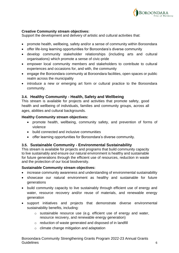

#### **Creative Community stream objectives:**

Support the development and delivery of artistic and cultural activities that:

- promote health, wellbeing, safety and/or a sense of community within Boroondara
- offer life-long learning opportunities for Boroondara's diverse community
- develop community stakeholder relationships (including arts and cultural organisations) which promote a sense of civic-pride
- empower local community members and stakeholders to contribute to cultural experiences and occasions for, and with, the community
- engage the Boroondara community at Boroondara facilities, open spaces or public realm across the municipality
- introduce a new or emerging art form or cultural practice to the Boroondara community.

#### **3.4. Healthy Community - Health, Safety and Wellbeing**

This stream is available for projects and activities that promote safety, good health and wellbeing of individuals, families and community groups, across all ages, abilities and cultural backgrounds.

#### **Healthy Community stream objectives:**

- promote health, wellbeing, community safety, and prevention of forms of violence
- build connected and inclusive communities
- offer learning opportunities for Boroondara's diverse community.

#### **3.5. Sustainable Community - Environmental Sustainability**

This stream is available for projects and programs that build community capacity to live sustainably and ensure our natural environment is healthy and sustainable for future generations through the efficient use of resources, reduction in waste and the protection of our local biodiversity.

#### **Sustainable Community stream objectives:**

- increase community awareness and understanding of environmental sustainability
- showcase our natural environment as healthy and sustainable for future generations
- build community capacity to live sustainably through efficient use of energy and water, resource recovery and/or reuse of materials, and renewable energy generation
- support initiatives and projects that demonstrate diverse environmental sustainability benefits, including:
	- o sustainable resource use (e.g. efficient use of energy and water, resource recovery, and renewable energy generation)
	- o reduction of waste generated and disposed of in landfill
	- o climate change mitigation and adaptation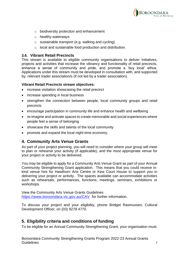

- o biodiversity protection and enhancement
- o healthy waterways
- o sustainable transport (e.g. walking and cycling)
- o local and sustainable food production and distribution.

#### **3.6. Vibrant Retail Precincts**

This stream is available to eligible community organisations to deliver initiatives, projects and activities that increase the vibrancy and functionality of retail precincts, enhance a sense of community and pride, and promote a 'buy local' ethos. Applications under this stream must be developed in consultation with, and supported by, relevant trader association/s (if not led by a trader association).

#### **Vibrant Retail Precincts stream objectives:**

- increase visitation showcasing the retail precinct
- increase spending in local business
- strengthen the connection between people, local community groups and retail precincts
- encourage participation in community life and enhance health and wellbeing
- re-imagine and activate spaces to create memorable and social experiences where people feel a sense of belonging
- showcase the skills and talents of the local community
- promote and expand the local night-time economy.

#### **4. Community Arts Venue Grants**

As part of your project planning, you will need to consider where your group will meet to plan or rehearse your activity (if applicable), and the most appropriate venue for your project or activity to be delivered.

You may be eligible to apply for a Community Arts Venue Grant as part of your Annual Community Strengthening Grant application. This means that you could receive inkind venue hire for Hawthorn Arts Centre or Kew Court House to support you in delivering your project or activity. The spaces available can accommodate activities such as rehearsals, performances, functions, meetings, seminars, exhibitions or workshops.

View the Community Arts Venue Grants Guidelines <https://www.boroondara.vic.gov.au/CAV> for further information.

To discuss your project and your eligibility, phone Bridget Rasmussen, Cultural Development Officer, on (03) 9278 4770.

#### **5. Eligibility criteria and conditions of funding**

To be eligible for an Annual Community Strengthening Grant, your organisation must: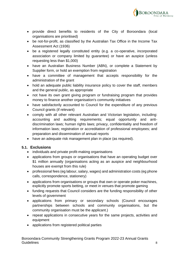

- provide direct benefits to residents of the City of Boroondara (local organisations are prioritised)
- be not-for-profit, as classified by the Australian Tax Office in the Income Tax Assessment Act (1936)
- be a registered legally constituted entity (e.g. a co-operative, incorporated association or company limited by guarantee) or have an auspice (unless requesting less than \$1,000)
- have an Australian Business Number (ABN), or complete a Statement by Supplier form, or hold an exemption from registration
- have a committee of management that accepts responsibility for the administration of the grant
- hold an adequate public liability insurance policy to cover the staff, members and the general public, as appropriate
- not have its own grant giving program or fundraising program that provides money to finance another organisation's community initiatives
- have satisfactorily accounted to Council for the expenditure of any previous Council grants (if relevant)
- comply with all other relevant Australian and Victorian legislation, including: accounting and auditing requirements; equal opportunity and antidiscrimination laws; human rights laws; privacy, confidentiality and freedom of information laws; registration or accreditation of professional employees; and preparation and dissemination of annual reports
- have an adequate risk management plan in place (as required).

#### **5.1. Exclusions**

- individuals and private profit-making organisations
- applications from groups or organisations that have an operating budget over \$1 million annually (organisations acting as an auspice and neighbourhood houses are exempt from this rule)
- professional fees (eg labour, salary, wages) and administration costs (eg phone calls, correspondence, stationery)
- applications from organisations or groups that own or operate poker machines, explicitly promote sports betting, or meet in venues that promote gaming
- funding requests that Council considers are the funding responsibility of other levels of government
- applications from primary or secondary schools (Council encourages partnerships between schools and community organisations, but the community organisation must be the applicant.)
- repeat applications in consecutive years for the same projects, activities and equipment
- applications from registered political parties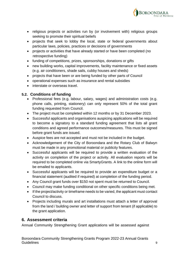

- religious projects or activities run by (or involvement with) religious groups seeking to promote their spiritual beliefs
- projects that seek to lobby the local, state or federal governments about particular laws, policies, practices or decisions of governments
- projects or activities that have already started or have been completed (no retrospective funding)
- funding of competitions, prizes, sponsorships, donations or gifts
- new building works, capital improvements, facility maintenance or fixed assets (e.g. air conditioners, shade sails, cubby houses and sheds)
- projects that have been or are being funded by other parts of Council
- operational expenses such as insurance and rental subsidies
- interstate or overseas travel.

#### **5.2. Conditions of funding**

- Professional fees (e.g. labour, salary, wages) and administration costs (e.g. phone calls, printing, stationery) can only represent 50% of the total grant funding requested from Council.
- The project must be completed within 12 months or by 31 December 2023.
- Successful applicants and organisations auspicing applications will be required to become a signatory to a standard funding agreement that lists all grant conditions and agreed performance outcomes/measures. This must be signed before grant funds are issued.
- Auspice fees are not accepted and must not be included in the budget.
- Acknowledgement of the City of Boroondara and the Rotary Club of Balwyn must be made in any promotional material or publicity features.
- Successful applicants will be required to provide a written evaluation of the activity on completion of the project or activity. All evaluation reports will be required to be completed online via SmartyGrants. A link to the online form will be emailed to applicants.
- Successful applicants will be required to provide an expenditure budget or a financial statement (audited if required) at completion of the funding period.
- Any Council grant funds over \$150 not spent must be returned to Council.
- Council may make funding conditional on other specific conditions being met.
- If the project/activity or timeframe needs to be varied, the applicant must contact Council to discuss.
- Projects including murals and art installations must attach a letter of approval from the land / building owner and letter of support from tenant (if applicable) to the grant application.

#### **6. Assessment criteria**

Annual Community Strengthening Grant applications will be assessed against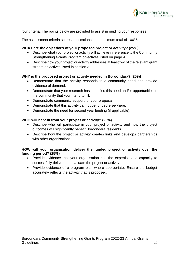

four criteria. The points below are provided to assist in guiding your responses.

The assessment criteria scores applications to a maximum total of 100%.

#### **WHAT are the objectives of your proposed project or activity? (25%)**

- Describe what your project or activity will achieve in reference to the Community Strengthening Grants Program objectives listed on page 4.
- Describe how your project or activity addresses at least two of the relevant grant stream objectives listed in section 3.

#### **WHY is the proposed project or activity needed in Boroondara? (25%)**

- Demonstrate that the activity responds to a community need and provide evidence of demand.
- Demonstrate that your research has identified this need and/or opportunities in the community that you intend to fill.
- Demonstrate community support for your proposal.
- Demonstrate that this activity cannot be funded elsewhere.
- Demonstrate the need for second year funding (if applicable).

#### **WHO will benefit from your project or activity? (25%)**

- Describe who will participate in your project or activity and how the project outcomes will significantly benefit Boroondara residents.
- Describe how the project or activity creates links and develops partnerships with other organisations.

#### **HOW will your organisation deliver the funded project or activity over the funding period? (25%)**

- Provide evidence that your organisation has the expertise and capacity to successfully deliver and evaluate the project or activity.
- Provide evidence of a program plan where appropriate. Ensure the budget accurately reflects the activity that is proposed.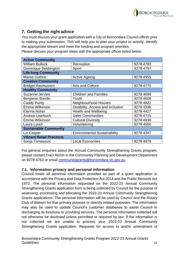

### **7. Getting the right advice**

You must discuss your grant application with a City of Boroondara Council officer prior to making your submission. This will help you to plan your project or activity, identify the appropriate stream and meet the funding and program priorities.

Please discuss your program ideas with the appropriate officer listed below.

| <b>Active Community</b>         |                                     |           |  |  |  |  |
|---------------------------------|-------------------------------------|-----------|--|--|--|--|
| <b>William Bullock</b>          | Recreation                          | 9278 4783 |  |  |  |  |
| Dominique Bebbington            | Sport                               | 9278 4797 |  |  |  |  |
| <b>Life-long Community</b>      |                                     |           |  |  |  |  |
| Maree Guthrie                   | <b>Active Ageing</b>                | 9278 4955 |  |  |  |  |
| <b>Creative Community</b>       |                                     |           |  |  |  |  |
| <b>Bridget Rasmussen</b>        | <b>Arts and Culture</b>             | 9278 4770 |  |  |  |  |
| <b>Healthy Community</b>        |                                     |           |  |  |  |  |
| <b>Suzanne Jervies</b>          | <b>Children and Families</b>        | 9278 4698 |  |  |  |  |
| <b>Benjamin Breslin</b>         | Youth                               | 9278 4608 |  |  |  |  |
| Caddy Purdy                     | Neighbourhood Houses                | 9278 4822 |  |  |  |  |
| Emma Wilkinson                  | Disability, Access and Inclusion    | 9278 4336 |  |  |  |  |
| Elanna Nolan                    | <b>Health and Wellbeing</b>         | 9278 4427 |  |  |  |  |
| Andrea Learbuch                 | <b>Safer Communities</b>            | 9278 4715 |  |  |  |  |
| Emma Wilkinson                  | <b>Cultural Diversity</b>           | 9278 4938 |  |  |  |  |
| Laura Lynch                     | Volunteering                        | 9278 4550 |  |  |  |  |
| <b>Sustainable Community</b>    |                                     |           |  |  |  |  |
| Liz Casper                      | <b>Environmental Sustainability</b> | 9278 4347 |  |  |  |  |
| <b>Vibrant Retail Precincts</b> |                                     |           |  |  |  |  |
| Sonja Tomasovic                 | <b>Local Economies</b>              | 9278 4879 |  |  |  |  |

For general enquiries about the Annual Community Strengthening Grants program, please contact Traci Alchin in the Community Planning and Development Department on 9278 4753 or email [communitygrants@boroondara.vic.gov.au.](mailto:traci.alchin@boroondara.vic.gov.au)

#### **7.1. Information privacy and personal information**

Council treats all personal information provided as part of a grant application in accordance with the Privacy and Data Protection Act 2014 and the Public Records Act 1973. The personal information requested on the 2022-23 Annual Community Strengthening Grants application form is being collected by Council for the purpose of assessing, processing and allocating the 2022-23 Annual Community Strengthening Grants applications. The personal information will be used by Council and the Rotary Club of Balwyn for that primary purpose or directly related purposes. The information may also be used to update Council's customer databases to assist Council in discharging its functions or providing services. The personal information collected will not otherwise be disclosed unless permitted or required by law. If the information is not collected we are unable to process your 2022-23 Annual Community Strengthening Grants application. Requests for access to and/or amendment of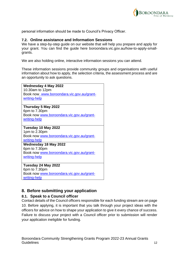

personal information should be made to Council's Privacy Officer.

#### **7.2. Online assistance and Information Sessions**

We have a step-by-step guide on our website that will help you prepare and apply for your grant. You can find the guide here boroondara.vic.gov.au/how-to-apply-smallgrants.

We are also holding online, interactive information sessions you can attend.

These information sessions provide community groups and organisations with useful information about how to apply, the selection criteria, the assessment process and are an opportunity to ask questions.

| <b>Wednesday 4 May 2022</b>               |  |  |  |  |
|-------------------------------------------|--|--|--|--|
| 10.30am to 12pm                           |  |  |  |  |
| Book now_www.boroondara.vic.gov.au/grant- |  |  |  |  |
| writing-help                              |  |  |  |  |
|                                           |  |  |  |  |
| Thursday 5 May 2022                       |  |  |  |  |
| 6pm to 7.30pm                             |  |  |  |  |
| Book now www.boroondara.vic.gov.au/grant- |  |  |  |  |
| writing-help                              |  |  |  |  |
|                                           |  |  |  |  |
| Tuesday 10 May 2022                       |  |  |  |  |
| 1pm to 2.30pm                             |  |  |  |  |
| Book now www.boroondara.vic.gov.au/grant- |  |  |  |  |
| writing-help                              |  |  |  |  |
| <b>Wednesday 18 May 2022</b>              |  |  |  |  |
| 6pm to 7.30pm                             |  |  |  |  |
| Book now www.boroondara.vic.gov.au/grant- |  |  |  |  |
| writing-help                              |  |  |  |  |
|                                           |  |  |  |  |
| Tuesday 24 May 2022                       |  |  |  |  |
| 6pm to 7.30pm                             |  |  |  |  |
| Book now www.boroondara.vic.gov.au/grant- |  |  |  |  |
| writing-help                              |  |  |  |  |

#### **8. Before submitting your application**

#### **8.1. Speak to a Council officer**

Contact details of the Council officers responsible for each funding stream are on page 10. Before applying, it is important that you talk through your project ideas with the officers for advice on how to shape your application to give it every chance of success. Failure to discuss your project with a Council officer prior to submission will render your application ineligible for funding.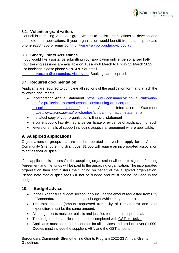

#### **8.2. Volunteer grant writers**

Council is recruiting volunteer grant writers to assist organisations to develop and complete their applications. If your organisation would benefit from this help, please phone 9278 4753 or email [communitygrants@boroondara.vic.gov.au.](mailto:communitygrants@boroondara.vic.gov.au)

#### **8.3. SmartyGrants Assistance**

If you would like assistance submitting your application online, personalised halfhour training sessions are available on Tuesday 8 March to Friday 11 March 2022. For bookings please phone 9278 4707 or email

[communitygrants@boroondara.vic.gov.au.](mailto:communitygrants@boroondara.vic.gov.au) Bookings are required.

#### **8.4. Required documentation**

Applicants are required to complete all sections of the application form and attach the following documents:

- Incorporation Annual Statement [\(https://www.consumer.vic.gov.au/clubs-and](https://www.consumer.vic.gov.au/clubs-and-not-for-profits/incorporated-associations/running-an-incorporated-association/annual-statement)[not-for-profits/incorporated-associations/running-an-incorporated](https://www.consumer.vic.gov.au/clubs-and-not-for-profits/incorporated-associations/running-an-incorporated-association/annual-statement)[association/annual-statement\)](https://www.consumer.vic.gov.au/clubs-and-not-for-profits/incorporated-associations/running-an-incorporated-association/annual-statement) or, Annual Information Statement [\(https://www.acnc.gov.au/for-charities/annual-information-statement\)](https://www.acnc.gov.au/for-charities/annual-information-statement)
- the latest copy of your organisation's financial statement
- a current public liability insurance certificate or evidence of application for such
- letters or emails of support including auspice arrangement where applicable.

#### **9. Auspiced applications**

Organisations or groups that are not incorporated and wish to apply for an Annual Community Strengthening Grant over \$1,000 will require an incorporated association to act as their auspice.

If the application is successful, the auspicing organisation will need to sign the Funding Agreement and the funds will be paid to the auspicing organisation. The incorporated organisation then administers the funding on behalf of the auspiced organisation. Please note that auspice fees will not be funded and must not be included in the budget.

#### **10. Budget advice**

- In the Expenditure budget section, only include the amount requested from City of Boroondara - not the total project budget (which may be more).
- The total income (amount requested from City of Boroondara) and total expenditure must be the same amount.
- All budget costs must be realistic and justified for the project proposal.
- The budget in the application must be completed with GST exclusive amounts.
- Applicants must obtain formal quotes for all services and products over \$1,000. Quotes must include the suppliers ABN and the GST amount.

Boroondara Community Strengthening Grants Program 2022-23 Annual Grants Guidelines **13**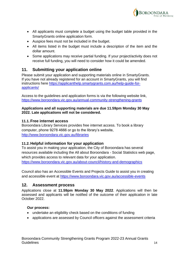

- All applicants must complete a budget using the budget table provided in the SmartyGrants online application form.
- Auspice fees must not be included in the budget.
- All items listed in the budget must include a description of the item and the dollar amount.
- Some applications may receive partial funding. If your project/activity does not receive full funding, you will need to consider how it could be amended.

#### **11. Submitting your application online**

Please submit your application and supporting materials online in SmartyGrants. If you have not already registered for an account in SmartyGrants, you will find instructions here [https://applicanthelp.smartygrants.com.au/help-guide-for](https://applicanthelp.smartygrants.com.au/help-guide-for-applicants/)[applicants/](https://applicanthelp.smartygrants.com.au/help-guide-for-applicants/)

Access to the guidelines and application forms is via the following website link, https://www.boroondara.vic.gov.au/annual-community-strengthening-grants

#### **Applications and all supporting materials are due 11.59pm Monday 30 May 2022. Late applications will not be considered.**

#### **11.1. Free internet access**

Boroondara Library Services provides free internet access. To book a library computer, phone 9278 4666 or go to the library's website, <http://www.boroondara.vic.gov.au/libraries>

#### **11.2. Helpful information for your application**

To assist you in making your application, the City of Boroondara has several resources available including the All about Boroondara - Social Statistics web page, which provides access to relevant data for your application. <https://www.boroondara.vic.gov.au/about-council/history-and-demographics>

Council also has an Accessible Events and Projects Guide to assist you in creating and accessible event at<https://www.boroondara.vic.gov.au/accessible-events>

#### **12. Assessment process**

Applications close at **11.59pm Monday 30 May 2022**. Applications will then be assessed and applicants will be notified of the outcome of their application in late October 2022.

#### **Our process:**

- undertake an eligibility check based on the conditions of funding
- applications are assessed by Council officers against the assessment criteria